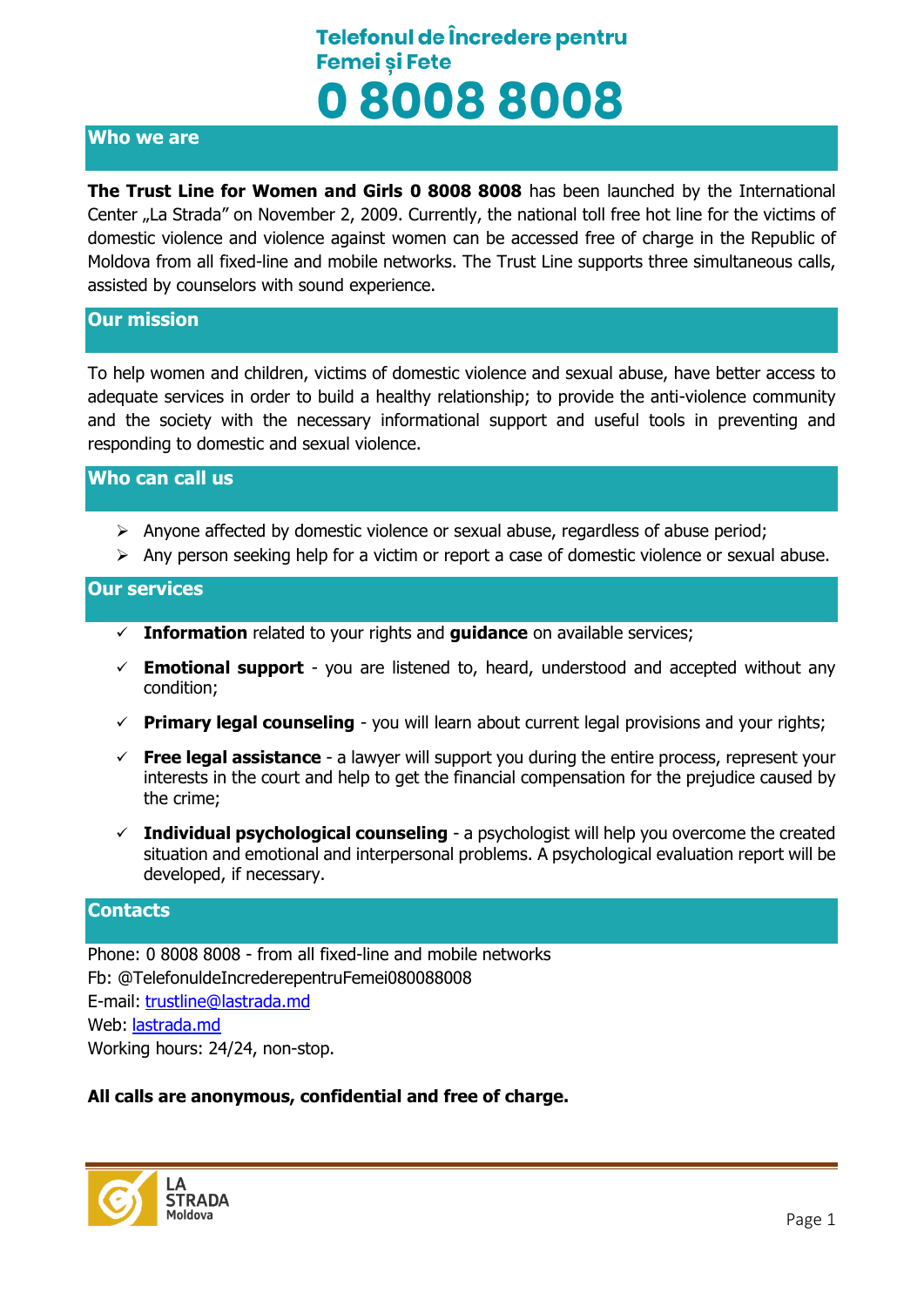# Telefonul de Încredere pentru **Femei si Fete** 080088008

### **Who we are**

**The Trust Line for Women and Girls 0 8008 8008** has been launched by the International Center "La Strada" on November 2, 2009. Currently, the national toll free hot line for the victims of domestic violence and violence against women can be accessed free of charge in the Republic of Moldova from all fixed-line and mobile networks. The Trust Line supports three simultaneous calls, assisted by counselors with sound experience.

#### **Our mission**

To help women and children, victims of domestic violence and sexual abuse, have better access to adequate services in order to build a healthy relationship; to provide the anti-violence community and the society with the necessary informational support and useful tools in preventing and responding to domestic and sexual violence.

#### **Who can call us**

- $\triangleright$  Anyone affected by domestic violence or sexual abuse, regardless of abuse period;
- $\triangleright$  Any person seeking help for a victim or report a case of domestic violence or sexual abuse.

#### **Our services**

- **Information** related to your rights and **guidance** on available services;
- $\checkmark$  **Emotional support** you are listened to, heard, understood and accepted without any condition;
- **Primary legal counseling** you will learn about current legal provisions and your rights;
- **Free legal assistance** a lawyer will support you during the entire process, represent your interests in the court and help to get the financial compensation for the prejudice caused by the crime;
- **Individual psychological counseling** a psychologist will help you overcome the created situation and emotional and interpersonal problems. A psychological evaluation report will be developed, if necessary.

#### **Contacts**

Phone: 0 8008 8008 - from all fixed-line and mobile networks Fb: @TelefonuldeIncrederepentruFemei080088008 E-mail: [trustline@lastrada.md](mailto:trustline@lastrada.md) Web: [lastrada.md](http://lastrada.md/) Working hours: 24/24, non-stop.

### **All calls are anonymous, confidential and free of charge.**

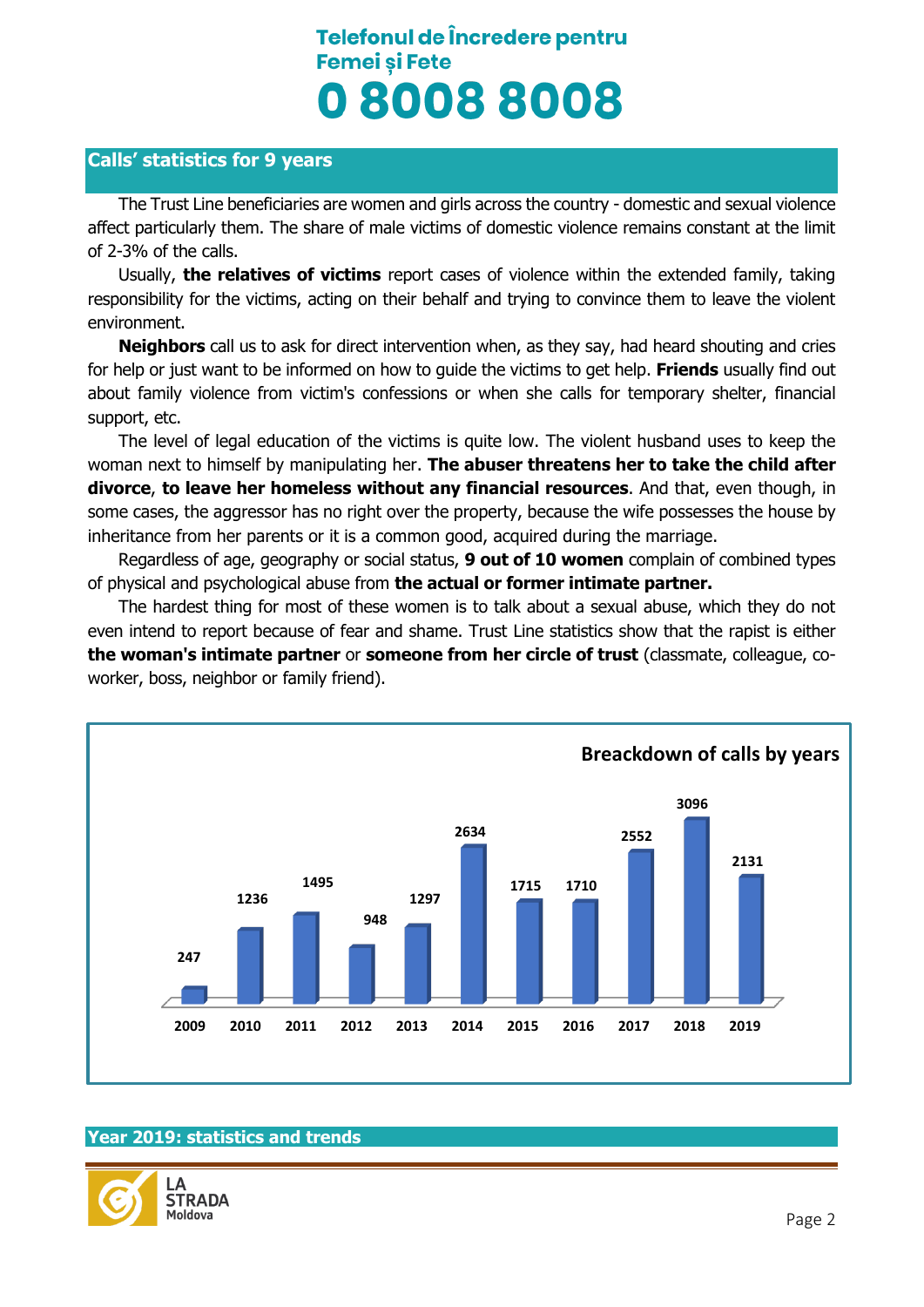# Telefonul de Încredere pentru **Femei si Fete** 080088008

## **Calls' statistics for 9 years**

The Trust Line beneficiaries are women and girls across the country - domestic and sexual violence affect particularly them. The share of male victims of domestic violence remains constant at the limit of 2-3% of the calls.

Usually, **the relatives of victims** report cases of violence within the extended family, taking responsibility for the victims, acting on their behalf and trying to convince them to leave the violent environment.

**Neighbors** call us to ask for direct intervention when, as they say, had heard shouting and cries for help or just want to be informed on how to guide the victims to get help. **Friends** usually find out about family violence from victim's confessions or when she calls for temporary shelter, financial support, etc.

The level of legal education of the victims is quite low. The violent husband uses to keep the woman next to himself by manipulating her. **The abuser threatens her to take the child after divorce**, **to leave her homeless without any financial resources**. And that, even though, in some cases, the aggressor has no right over the property, because the wife possesses the house by inheritance from her parents or it is a common good, acquired during the marriage.

Regardless of age, geography or social status, **9 out of 10 women** complain of combined types of physical and psychological abuse from **the actual or former intimate partner.**

The hardest thing for most of these women is to talk about a sexual abuse, which they do not even intend to report because of fear and shame. Trust Line statistics show that the rapist is either **the woman's intimate partner** or **someone from her circle of trust** (classmate, colleague, coworker, boss, neighbor or family friend).



### **Year 2019: statistics and trends**